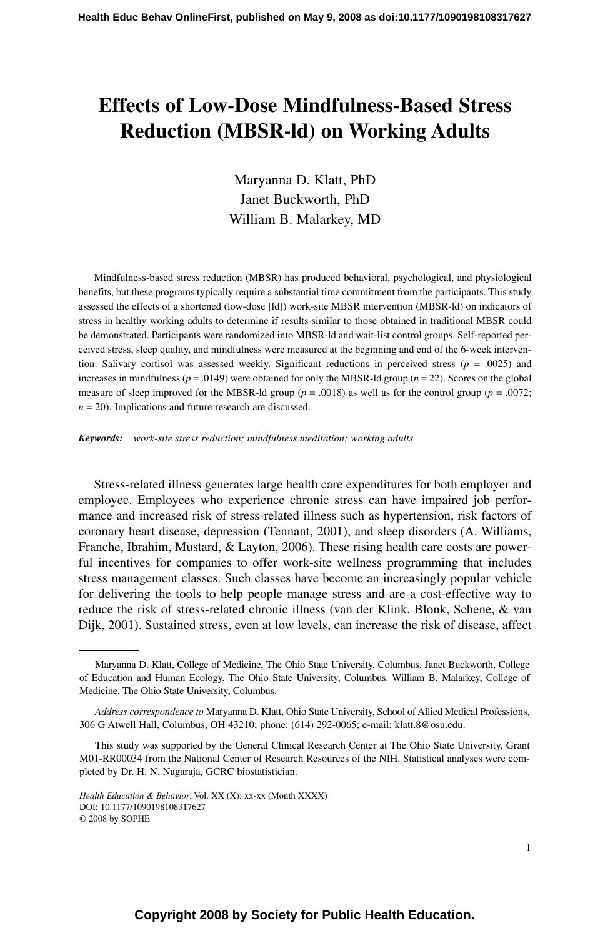# **Effects of Low-Dose Mindfulness-Based Stress Reduction (MBSR-ld) on Working Adults**

Maryanna D. Klatt, PhD Janet Buckworth, PhD William B. Malarkey, MD

Mindfulness-based stress reduction (MBSR) has produced behavioral, psychological, and physiological benefits, but these programs typically require a substantial time commitment from the participants. This study assessed the effects of a shortened (low-dose [ld]) work-site MBSR intervention (MBSR-ld) on indicators of stress in healthy working adults to determine if results similar to those obtained in traditional MBSR could be demonstrated. Participants were randomized into MBSR-ld and wait-list control groups. Self-reported perceived stress, sleep quality, and mindfulness were measured at the beginning and end of the 6-week intervention. Salivary cortisol was assessed weekly. Significant reductions in perceived stress ( $p = .0025$ ) and increases in mindfulness ( $p = .0149$ ) were obtained for only the MBSR-ld group ( $n = 22$ ). Scores on the global measure of sleep improved for the MBSR-ld group ( $p = .0018$ ) as well as for the control group ( $p = .0072$ ;  $n = 20$ ). Implications and future research are discussed.

*Keywords: work-site stress reduction; mindfulness meditation; working adults*

Stress-related illness generates large health care expenditures for both employer and employee. Employees who experience chronic stress can have impaired job performance and increased risk of stress-related illness such as hypertension, risk factors of coronary heart disease, depression (Tennant, 2001), and sleep disorders (A. Williams, Franche, Ibrahim, Mustard, & Layton, 2006). These rising health care costs are powerful incentives for companies to offer work-site wellness programming that includes stress management classes. Such classes have become an increasingly popular vehicle for delivering the tools to help people manage stress and are a cost-effective way to reduce the risk of stress-related chronic illness (van der Klink, Blonk, Schene, & van Dijk, 2001). Sustained stress, even at low levels, can increase the risk of disease, affect

Maryanna D. Klatt, College of Medicine, The Ohio State University, Columbus. Janet Buckworth, College of Education and Human Ecology, The Ohio State University, Columbus. William B. Malarkey, College of Medicine, The Ohio State University, Columbus.

*Address correspondence to* Maryanna D. Klatt, Ohio State University, School of Allied Medical Professions, 306 G Atwell Hall, Columbus, OH 43210; phone: (614) 292-0065; e-mail: klatt.8@osu.edu.

This study was supported by the General Clinical Research Center at The Ohio State University, Grant M01-RR00034 from the National Center of Research Resources of the NIH. Statistical analyses were completed by Dr. H. N. Nagaraja, GCRC biostatistician.

*Health Education & Behavior*, Vol. XX (X): xx-xx (Month XXXX) DOI: 10.1177/1090198108317627 © 2008 by SOPHE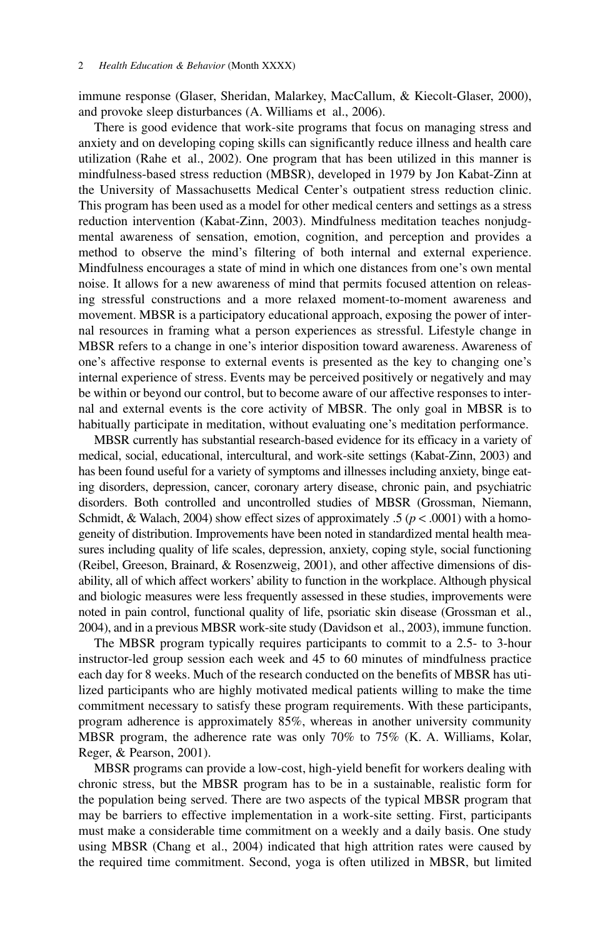immune response (Glaser, Sheridan, Malarkey, MacCallum, & Kiecolt-Glaser, 2000), and provoke sleep disturbances (A. Williams et al., 2006).

There is good evidence that work-site programs that focus on managing stress and anxiety and on developing coping skills can significantly reduce illness and health care utilization (Rahe et al., 2002). One program that has been utilized in this manner is mindfulness-based stress reduction (MBSR), developed in 1979 by Jon Kabat-Zinn at the University of Massachusetts Medical Center's outpatient stress reduction clinic. This program has been used as a model for other medical centers and settings as a stress reduction intervention (Kabat-Zinn, 2003). Mindfulness meditation teaches nonjudgmental awareness of sensation, emotion, cognition, and perception and provides a method to observe the mind's filtering of both internal and external experience. Mindfulness encourages a state of mind in which one distances from one's own mental noise. It allows for a new awareness of mind that permits focused attention on releasing stressful constructions and a more relaxed moment-to-moment awareness and movement. MBSR is a participatory educational approach, exposing the power of internal resources in framing what a person experiences as stressful. Lifestyle change in MBSR refers to a change in one's interior disposition toward awareness. Awareness of one's affective response to external events is presented as the key to changing one's internal experience of stress. Events may be perceived positively or negatively and may be within or beyond our control, but to become aware of our affective responses to internal and external events is the core activity of MBSR. The only goal in MBSR is to habitually participate in meditation, without evaluating one's meditation performance.

MBSR currently has substantial research-based evidence for its efficacy in a variety of medical, social, educational, intercultural, and work-site settings (Kabat-Zinn, 2003) and has been found useful for a variety of symptoms and illnesses including anxiety, binge eating disorders, depression, cancer, coronary artery disease, chronic pain, and psychiatric disorders. Both controlled and uncontrolled studies of MBSR (Grossman, Niemann, Schmidt, & Walach, 2004) show effect sizes of approximately .5 ( $p < .0001$ ) with a homogeneity of distribution. Improvements have been noted in standardized mental health measures including quality of life scales, depression, anxiety, coping style, social functioning (Reibel, Greeson, Brainard, & Rosenzweig, 2001), and other affective dimensions of disability, all of which affect workers' ability to function in the workplace. Although physical and biologic measures were less frequently assessed in these studies, improvements were noted in pain control, functional quality of life, psoriatic skin disease (Grossman et al., 2004), and in a previous MBSR work-site study (Davidson et al., 2003), immune function.

The MBSR program typically requires participants to commit to a 2.5- to 3-hour instructor-led group session each week and 45 to 60 minutes of mindfulness practice each day for 8 weeks. Much of the research conducted on the benefits of MBSR has utilized participants who are highly motivated medical patients willing to make the time commitment necessary to satisfy these program requirements. With these participants, program adherence is approximately 85%, whereas in another university community MBSR program, the adherence rate was only 70% to 75% (K. A. Williams, Kolar, Reger, & Pearson, 2001).

MBSR programs can provide a low-cost, high-yield benefit for workers dealing with chronic stress, but the MBSR program has to be in a sustainable, realistic form for the population being served. There are two aspects of the typical MBSR program that may be barriers to effective implementation in a work-site setting. First, participants must make a considerable time commitment on a weekly and a daily basis. One study using MBSR (Chang et al., 2004) indicated that high attrition rates were caused by the required time commitment. Second, yoga is often utilized in MBSR, but limited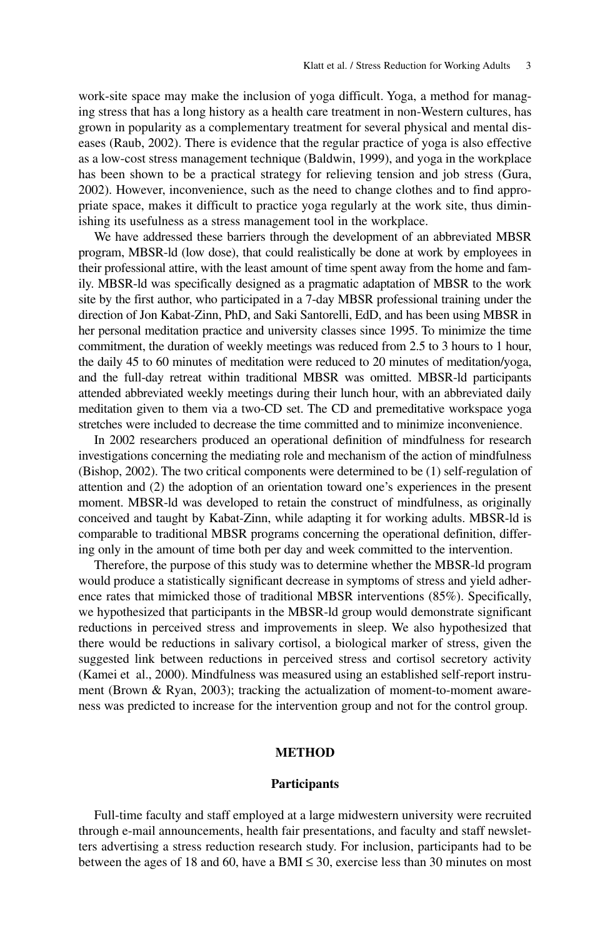work-site space may make the inclusion of yoga difficult. Yoga, a method for managing stress that has a long history as a health care treatment in non-Western cultures, has grown in popularity as a complementary treatment for several physical and mental diseases (Raub, 2002). There is evidence that the regular practice of yoga is also effective as a low-cost stress management technique (Baldwin, 1999), and yoga in the workplace has been shown to be a practical strategy for relieving tension and job stress (Gura, 2002). However, inconvenience, such as the need to change clothes and to find appropriate space, makes it difficult to practice yoga regularly at the work site, thus diminishing its usefulness as a stress management tool in the workplace.

We have addressed these barriers through the development of an abbreviated MBSR program, MBSR-ld (low dose), that could realistically be done at work by employees in their professional attire, with the least amount of time spent away from the home and family. MBSR-ld was specifically designed as a pragmatic adaptation of MBSR to the work site by the first author, who participated in a 7-day MBSR professional training under the direction of Jon Kabat-Zinn, PhD, and Saki Santorelli, EdD, and has been using MBSR in her personal meditation practice and university classes since 1995. To minimize the time commitment, the duration of weekly meetings was reduced from 2.5 to 3 hours to 1 hour, the daily 45 to 60 minutes of meditation were reduced to 20 minutes of meditation/yoga, and the full-day retreat within traditional MBSR was omitted. MBSR-ld participants attended abbreviated weekly meetings during their lunch hour, with an abbreviated daily meditation given to them via a two-CD set. The CD and premeditative workspace yoga stretches were included to decrease the time committed and to minimize inconvenience.

In 2002 researchers produced an operational definition of mindfulness for research investigations concerning the mediating role and mechanism of the action of mindfulness (Bishop, 2002). The two critical components were determined to be (1) self-regulation of attention and (2) the adoption of an orientation toward one's experiences in the present moment. MBSR-ld was developed to retain the construct of mindfulness, as originally conceived and taught by Kabat-Zinn, while adapting it for working adults. MBSR-ld is comparable to traditional MBSR programs concerning the operational definition, differing only in the amount of time both per day and week committed to the intervention.

Therefore, the purpose of this study was to determine whether the MBSR-ld program would produce a statistically significant decrease in symptoms of stress and yield adherence rates that mimicked those of traditional MBSR interventions (85%). Specifically, we hypothesized that participants in the MBSR-ld group would demonstrate significant reductions in perceived stress and improvements in sleep. We also hypothesized that there would be reductions in salivary cortisol, a biological marker of stress, given the suggested link between reductions in perceived stress and cortisol secretory activity (Kamei et al., 2000). Mindfulness was measured using an established self-report instrument (Brown & Ryan, 2003); tracking the actualization of moment-to-moment awareness was predicted to increase for the intervention group and not for the control group.

# **METHOD**

### **Participants**

Full-time faculty and staff employed at a large midwestern university were recruited through e-mail announcements, health fair presentations, and faculty and staff newsletters advertising a stress reduction research study. For inclusion, participants had to be between the ages of 18 and 60, have a BMI  $\leq$  30, exercise less than 30 minutes on most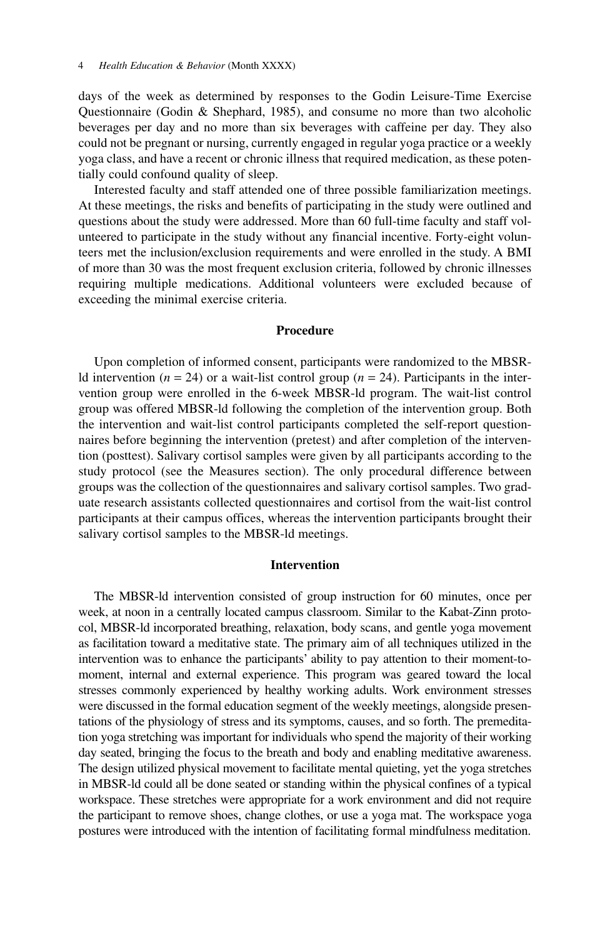days of the week as determined by responses to the Godin Leisure-Time Exercise Questionnaire (Godin & Shephard, 1985), and consume no more than two alcoholic beverages per day and no more than six beverages with caffeine per day. They also could not be pregnant or nursing, currently engaged in regular yoga practice or a weekly yoga class, and have a recent or chronic illness that required medication, as these potentially could confound quality of sleep.

Interested faculty and staff attended one of three possible familiarization meetings. At these meetings, the risks and benefits of participating in the study were outlined and questions about the study were addressed. More than 60 full-time faculty and staff volunteered to participate in the study without any financial incentive. Forty-eight volunteers met the inclusion/exclusion requirements and were enrolled in the study. A BMI of more than 30 was the most frequent exclusion criteria, followed by chronic illnesses requiring multiple medications. Additional volunteers were excluded because of exceeding the minimal exercise criteria.

# **Procedure**

Upon completion of informed consent, participants were randomized to the MBSRld intervention ( $n = 24$ ) or a wait-list control group ( $n = 24$ ). Participants in the intervention group were enrolled in the 6-week MBSR-ld program. The wait-list control group was offered MBSR-ld following the completion of the intervention group. Both the intervention and wait-list control participants completed the self-report questionnaires before beginning the intervention (pretest) and after completion of the intervention (posttest). Salivary cortisol samples were given by all participants according to the study protocol (see the Measures section). The only procedural difference between groups was the collection of the questionnaires and salivary cortisol samples. Two graduate research assistants collected questionnaires and cortisol from the wait-list control participants at their campus offices, whereas the intervention participants brought their salivary cortisol samples to the MBSR-ld meetings.

# **Intervention**

The MBSR-ld intervention consisted of group instruction for 60 minutes, once per week, at noon in a centrally located campus classroom. Similar to the Kabat-Zinn protocol, MBSR-ld incorporated breathing, relaxation, body scans, and gentle yoga movement as facilitation toward a meditative state. The primary aim of all techniques utilized in the intervention was to enhance the participants' ability to pay attention to their moment-tomoment, internal and external experience. This program was geared toward the local stresses commonly experienced by healthy working adults. Work environment stresses were discussed in the formal education segment of the weekly meetings, alongside presentations of the physiology of stress and its symptoms, causes, and so forth. The premeditation yoga stretching was important for individuals who spend the majority of their working day seated, bringing the focus to the breath and body and enabling meditative awareness. The design utilized physical movement to facilitate mental quieting, yet the yoga stretches in MBSR-ld could all be done seated or standing within the physical confines of a typical workspace. These stretches were appropriate for a work environment and did not require the participant to remove shoes, change clothes, or use a yoga mat. The workspace yoga postures were introduced with the intention of facilitating formal mindfulness meditation.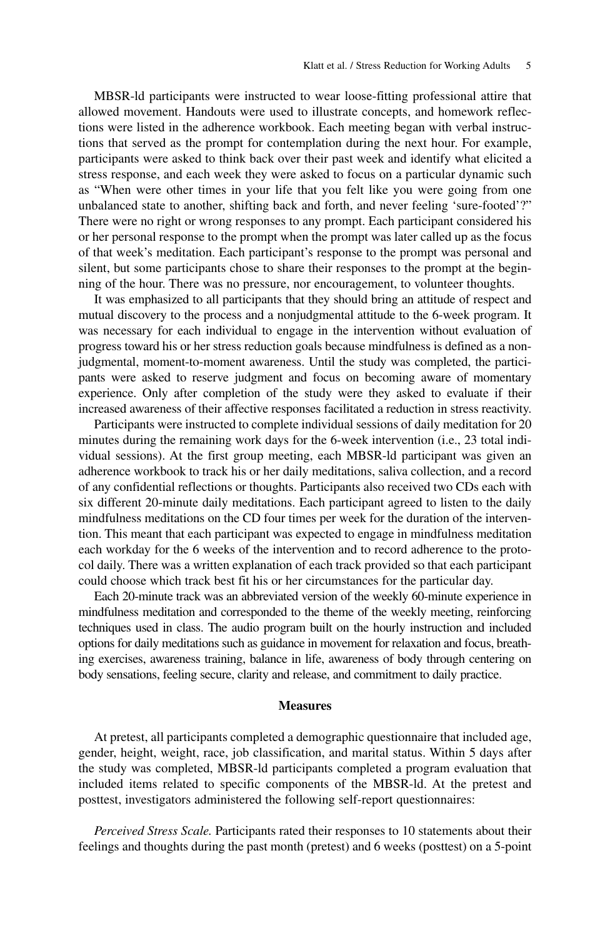MBSR-ld participants were instructed to wear loose-fitting professional attire that allowed movement. Handouts were used to illustrate concepts, and homework reflections were listed in the adherence workbook. Each meeting began with verbal instructions that served as the prompt for contemplation during the next hour. For example, participants were asked to think back over their past week and identify what elicited a stress response, and each week they were asked to focus on a particular dynamic such as "When were other times in your life that you felt like you were going from one unbalanced state to another, shifting back and forth, and never feeling 'sure-footed'?" There were no right or wrong responses to any prompt. Each participant considered his or her personal response to the prompt when the prompt was later called up as the focus of that week's meditation. Each participant's response to the prompt was personal and silent, but some participants chose to share their responses to the prompt at the beginning of the hour. There was no pressure, nor encouragement, to volunteer thoughts.

It was emphasized to all participants that they should bring an attitude of respect and mutual discovery to the process and a nonjudgmental attitude to the 6-week program. It was necessary for each individual to engage in the intervention without evaluation of progress toward his or her stress reduction goals because mindfulness is defined as a nonjudgmental, moment-to-moment awareness. Until the study was completed, the participants were asked to reserve judgment and focus on becoming aware of momentary experience. Only after completion of the study were they asked to evaluate if their increased awareness of their affective responses facilitated a reduction in stress reactivity.

Participants were instructed to complete individual sessions of daily meditation for 20 minutes during the remaining work days for the 6-week intervention (i.e., 23 total individual sessions). At the first group meeting, each MBSR-ld participant was given an adherence workbook to track his or her daily meditations, saliva collection, and a record of any confidential reflections or thoughts. Participants also received two CDs each with six different 20-minute daily meditations. Each participant agreed to listen to the daily mindfulness meditations on the CD four times per week for the duration of the intervention. This meant that each participant was expected to engage in mindfulness meditation each workday for the 6 weeks of the intervention and to record adherence to the protocol daily. There was a written explanation of each track provided so that each participant could choose which track best fit his or her circumstances for the particular day.

Each 20-minute track was an abbreviated version of the weekly 60-minute experience in mindfulness meditation and corresponded to the theme of the weekly meeting, reinforcing techniques used in class. The audio program built on the hourly instruction and included options for daily meditations such as guidance in movement for relaxation and focus, breathing exercises, awareness training, balance in life, awareness of body through centering on body sensations, feeling secure, clarity and release, and commitment to daily practice.

#### **Measures**

At pretest, all participants completed a demographic questionnaire that included age, gender, height, weight, race, job classification, and marital status. Within 5 days after the study was completed, MBSR-ld participants completed a program evaluation that included items related to specific components of the MBSR-ld. At the pretest and posttest, investigators administered the following self-report questionnaires:

*Perceived Stress Scale.* Participants rated their responses to 10 statements about their feelings and thoughts during the past month (pretest) and 6 weeks (posttest) on a 5-point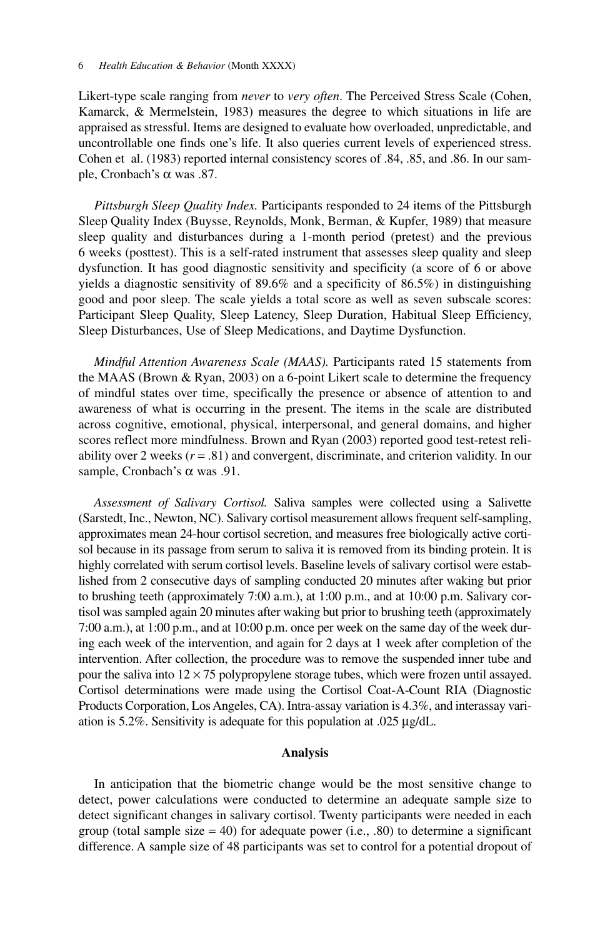Likert-type scale ranging from *never* to *very often*. The Perceived Stress Scale (Cohen, Kamarck, & Mermelstein, 1983) measures the degree to which situations in life are appraised as stressful. Items are designed to evaluate how overloaded, unpredictable, and uncontrollable one finds one's life. It also queries current levels of experienced stress. Cohen et al. (1983) reported internal consistency scores of .84, .85, and .86. In our sample, Cronbach's α was .87.

*Pittsburgh Sleep Quality Index.* Participants responded to 24 items of the Pittsburgh Sleep Quality Index (Buysse, Reynolds, Monk, Berman, & Kupfer, 1989) that measure sleep quality and disturbances during a 1-month period (pretest) and the previous 6 weeks (posttest). This is a self-rated instrument that assesses sleep quality and sleep dysfunction. It has good diagnostic sensitivity and specificity (a score of 6 or above yields a diagnostic sensitivity of 89.6% and a specificity of 86.5%) in distinguishing good and poor sleep. The scale yields a total score as well as seven subscale scores: Participant Sleep Quality, Sleep Latency, Sleep Duration, Habitual Sleep Efficiency, Sleep Disturbances, Use of Sleep Medications, and Daytime Dysfunction.

*Mindful Attention Awareness Scale (MAAS).* Participants rated 15 statements from the MAAS (Brown & Ryan, 2003) on a 6-point Likert scale to determine the frequency of mindful states over time, specifically the presence or absence of attention to and awareness of what is occurring in the present. The items in the scale are distributed across cognitive, emotional, physical, interpersonal, and general domains, and higher scores reflect more mindfulness. Brown and Ryan (2003) reported good test-retest reliability over 2 weeks  $(r = .81)$  and convergent, discriminate, and criterion validity. In our sample, Cronbach's  $\alpha$  was .91.

*Assessment of Salivary Cortisol.* Saliva samples were collected using a Salivette (Sarstedt, Inc., Newton, NC). Salivary cortisol measurement allows frequent self-sampling, approximates mean 24-hour cortisol secretion, and measures free biologically active cortisol because in its passage from serum to saliva it is removed from its binding protein. It is highly correlated with serum cortisol levels. Baseline levels of salivary cortisol were established from 2 consecutive days of sampling conducted 20 minutes after waking but prior to brushing teeth (approximately 7:00 a.m.), at 1:00 p.m., and at 10:00 p.m. Salivary cortisol was sampled again 20 minutes after waking but prior to brushing teeth (approximately 7:00 a.m.), at 1:00 p.m., and at 10:00 p.m. once per week on the same day of the week during each week of the intervention, and again for 2 days at 1 week after completion of the intervention. After collection, the procedure was to remove the suspended inner tube and pour the saliva into  $12 \times 75$  polypropylene storage tubes, which were frozen until assayed. Cortisol determinations were made using the Cortisol Coat-A-Count RIA (Diagnostic Products Corporation, Los Angeles, CA). Intra-assay variation is 4.3%, and interassay variation is 5.2%. Sensitivity is adequate for this population at .025 μg/dL.

## **Analysis**

In anticipation that the biometric change would be the most sensitive change to detect, power calculations were conducted to determine an adequate sample size to detect significant changes in salivary cortisol. Twenty participants were needed in each group (total sample size  $= 40$ ) for adequate power (i.e., .80) to determine a significant difference. A sample size of 48 participants was set to control for a potential dropout of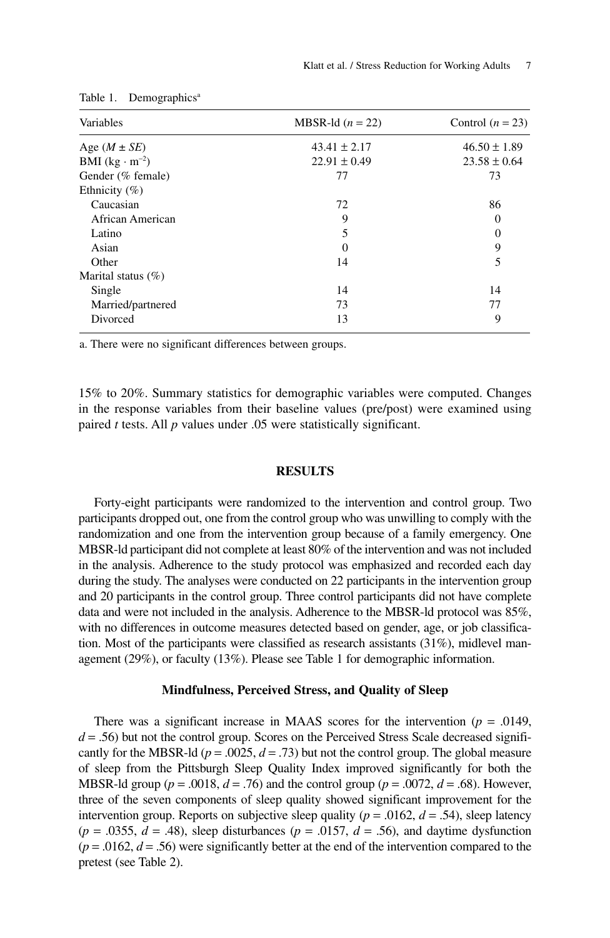| Variables               | MBSR-ld $(n = 22)$ | Control $(n = 23)$ |
|-------------------------|--------------------|--------------------|
| Age $(M \pm SE)$        | $43.41 \pm 2.17$   | $46.50 \pm 1.89$   |
| BMI $(kg \cdot m^{-2})$ | $22.91 \pm 0.49$   | $23.58 \pm 0.64$   |
| Gender (% female)       | 77                 | 73                 |
| Ethnicity $(\% )$       |                    |                    |
| Caucasian               | 72                 | 86                 |
| African American        | 9                  | 0                  |
| Latino                  | 5                  | $\overline{0}$     |
| Asian                   | $\theta$           | 9                  |
| Other                   | 14                 | 5                  |
| Marital status $(\%)$   |                    |                    |
| Single                  | 14                 | 14                 |
| Married/partnered       | 73                 | 77                 |
| Divorced                | 13                 | 9                  |

Table 1. Demographics<sup>a</sup>

a. There were no significant differences between groups.

15% to 20%. Summary statistics for demographic variables were computed. Changes in the response variables from their baseline values (pre/post) were examined using paired *t* tests. All *p* values under .05 were statistically significant.

# **RESULTS**

Forty-eight participants were randomized to the intervention and control group. Two participants dropped out, one from the control group who was unwilling to comply with the randomization and one from the intervention group because of a family emergency. One MBSR-ld participant did not complete at least 80% of the intervention and was not included in the analysis. Adherence to the study protocol was emphasized and recorded each day during the study. The analyses were conducted on 22 participants in the intervention group and 20 participants in the control group. Three control participants did not have complete data and were not included in the analysis. Adherence to the MBSR-ld protocol was 85%, with no differences in outcome measures detected based on gender, age, or job classification. Most of the participants were classified as research assistants (31%), midlevel management (29%), or faculty (13%). Please see Table 1 for demographic information.

#### **Mindfulness, Perceived Stress, and Quality of Sleep**

There was a significant increase in MAAS scores for the intervention  $(p = .0149, ...)$  $d = .56$ ) but not the control group. Scores on the Perceived Stress Scale decreased significantly for the MBSR-ld ( $p = .0025$ ,  $d = .73$ ) but not the control group. The global measure of sleep from the Pittsburgh Sleep Quality Index improved significantly for both the MBSR-ld group ( $p = .0018$ ,  $d = .76$ ) and the control group ( $p = .0072$ ,  $d = .68$ ). However, three of the seven components of sleep quality showed significant improvement for the intervention group. Reports on subjective sleep quality ( $p = .0162$ ,  $d = .54$ ), sleep latency  $(p = .0355, d = .48)$ , sleep disturbances  $(p = .0157, d = .56)$ , and daytime dysfunction  $(p = .0162, d = .56)$  were significantly better at the end of the intervention compared to the pretest (see Table 2).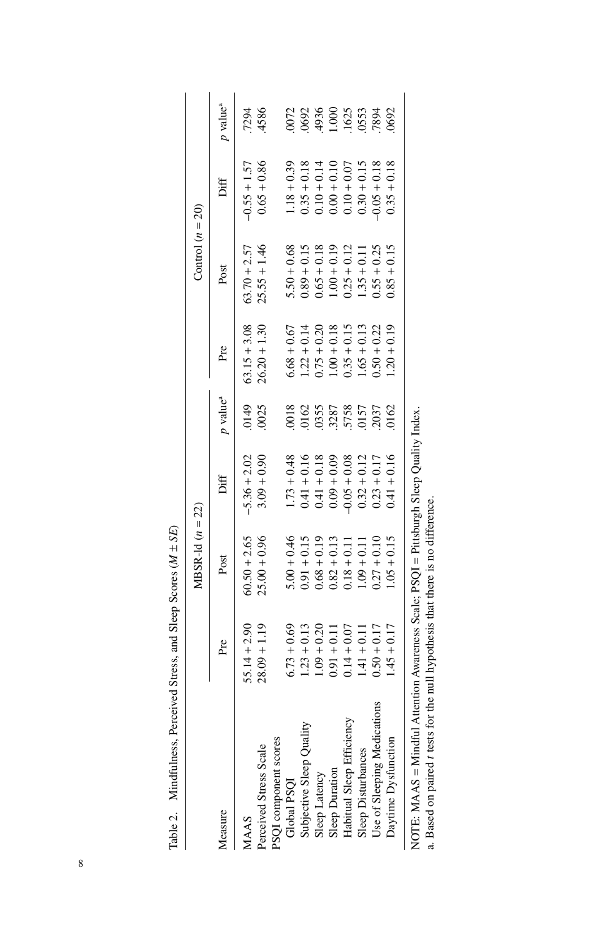| Í,<br>ļ<br>I        |
|---------------------|
| ı                   |
| ı<br>l              |
| i<br>į              |
| ï<br>nd<br>and<br>ĺ |
| j<br>i              |
|                     |
|                     |
|                     |
|                     |
|                     |
| Ì<br>l              |

|                                                                                       |                | $MBSR-1d (n = 22)$ |                |                                              |                | Control $(n = 20)$ |                |                                            |
|---------------------------------------------------------------------------------------|----------------|--------------------|----------------|----------------------------------------------|----------------|--------------------|----------------|--------------------------------------------|
| Measure                                                                               | Pre            | Post               | Diff           | $p$ value <sup>a</sup>                       | Pre            | Post               | Diff           | $p$ value <sup>a</sup>                     |
| MAAS                                                                                  | $5.14 + 2.90$  | $60.50 + 2.65$     | $-5.36 + 2.02$ | 0149                                         | $63.15 + 3.08$ | $63.70 + 2.57$     | $-0.55 + 1.57$ | .7294                                      |
| Perceived Stress Scale                                                                | $28.09 + 1.19$ | $25.00 + 0.96$     | $3.09 + 0.90$  | 0025                                         | $26.20 + 1.30$ | $25.55 + 1.46$     | $0.65 + 0.86$  | 4586                                       |
| PSQI component scores                                                                 |                |                    |                |                                              |                |                    |                |                                            |
| Global PSQI                                                                           | $6.73 + 0.69$  | $5.00 + 0.46$      | $1.73 + 0.48$  |                                              | $6.68 + 0.67$  | $5.50 + 0.68$      | $1.18 + 0.39$  | 0072                                       |
| subjective Sleep Quality                                                              | $1.23 + 0.13$  | $0.91 + 0.15$      | $0.41 + 0.16$  |                                              | $1.22 + 0.14$  | $0.89 + 0.15$      | $0.35 + 0.18$  |                                            |
| Sleep Latency                                                                         | $1.09 + 0.20$  | $0.68 + 0.19$      | $0.41 + 0.18$  |                                              | $0.75 + 0.20$  | $0.65 + 0.18$      | $0.10 + 0.14$  |                                            |
| Sleep Duration                                                                        | $0.91 + 0.11$  | $0.82 + 0.13$      | $0.09 + 0.09$  |                                              | $1.00 + 0.18$  | $1.00 + 0.19$      | $0.04 + 0.10$  |                                            |
| Habitual Sleep Efficiency                                                             | $0.14 + 0.07$  | $0.18 + 0.11$      | $-0.05 + 0.08$ | 0018<br>0162<br>0355<br>0157<br>5758<br>0157 | $0.35 + 0.15$  | $0.25 + 0.12$      | $0.10 + 0.07$  | .0692<br>.4936<br>.1.000<br>.1625<br>.7894 |
| Sleep Disturbances                                                                    | $1.41 + 0.11$  | $1.09 + 0.11$      | $0.32 + 0.12$  |                                              | $1.65 + 0.13$  | $1.35 + 0.11$      | $0.30 + 0.15$  |                                            |
| Use of Sleeping Medications                                                           | $0.50 + 0.17$  | $0.27 + 0.10$      | $0.23 + 0.17$  |                                              | $0.50 + 0.22$  | $0.55 + 0.25$      | $0.05 + 0.18$  |                                            |
| Daytime Dysfunction                                                                   | $1.45 + 0.17$  | $1.05 + 0.15$      | $0.41 + 0.16$  | 0162                                         | $1.20 + 0.19$  | $0.85 + 0.15$      | $0.35 + 0.18$  | 0692                                       |
| NOTE: MAAS = Mindful Attention Awareness Scale; PSQI = Pittsburgh Sleep Quality Index |                |                    |                |                                              |                |                    |                |                                            |

a. Based on paired t tests for the null hypothesis that there is no difference. a. Based on paired *t* tests for the null hypothesis that there is no difference.

8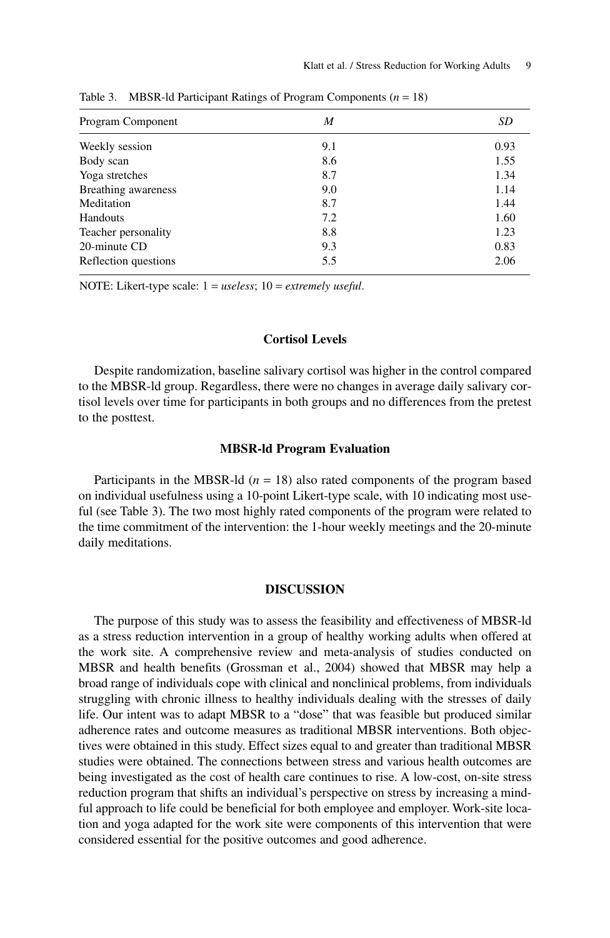| Program Component    | M   | SD   |
|----------------------|-----|------|
| Weekly session       | 9.1 | 0.93 |
| Body scan            | 8.6 | 1.55 |
| Yoga stretches       | 8.7 | 1.34 |
| Breathing awareness  | 9.0 | 1.14 |
| Meditation           | 8.7 | 1.44 |
| Handouts             | 7.2 | 1.60 |
| Teacher personality  | 8.8 | 1.23 |
| 20-minute CD         | 9.3 | 0.83 |
| Reflection questions | 5.5 | 2.06 |
|                      |     |      |

Table 3. MBSR-ld Participant Ratings of Program Components (*n* = 18)

NOTE: Likert-type scale: 1 = *useless*; 10 = *extremely useful*.

# **Cortisol Levels**

Despite randomization, baseline salivary cortisol was higher in the control compared to the MBSR-ld group. Regardless, there were no changes in average daily salivary cortisol levels over time for participants in both groups and no differences from the pretest to the posttest.

## **MBSR-ld Program Evaluation**

Participants in the MBSR-ld  $(n = 18)$  also rated components of the program based on individual usefulness using a 10-point Likert-type scale, with 10 indicating most useful (see Table 3). The two most highly rated components of the program were related to the time commitment of the intervention: the 1-hour weekly meetings and the 20-minute daily meditations.

#### **DISCUSSION**

The purpose of this study was to assess the feasibility and effectiveness of MBSR-ld as a stress reduction intervention in a group of healthy working adults when offered at the work site. A comprehensive review and meta-analysis of studies conducted on MBSR and health benefits (Grossman et al., 2004) showed that MBSR may help a broad range of individuals cope with clinical and nonclinical problems, from individuals struggling with chronic illness to healthy individuals dealing with the stresses of daily life. Our intent was to adapt MBSR to a "dose" that was feasible but produced similar adherence rates and outcome measures as traditional MBSR interventions. Both objectives were obtained in this study. Effect sizes equal to and greater than traditional MBSR studies were obtained. The connections between stress and various health outcomes are being investigated as the cost of health care continues to rise. A low-cost, on-site stress reduction program that shifts an individual's perspective on stress by increasing a mindful approach to life could be beneficial for both employee and employer. Work-site location and yoga adapted for the work site were components of this intervention that were considered essential for the positive outcomes and good adherence.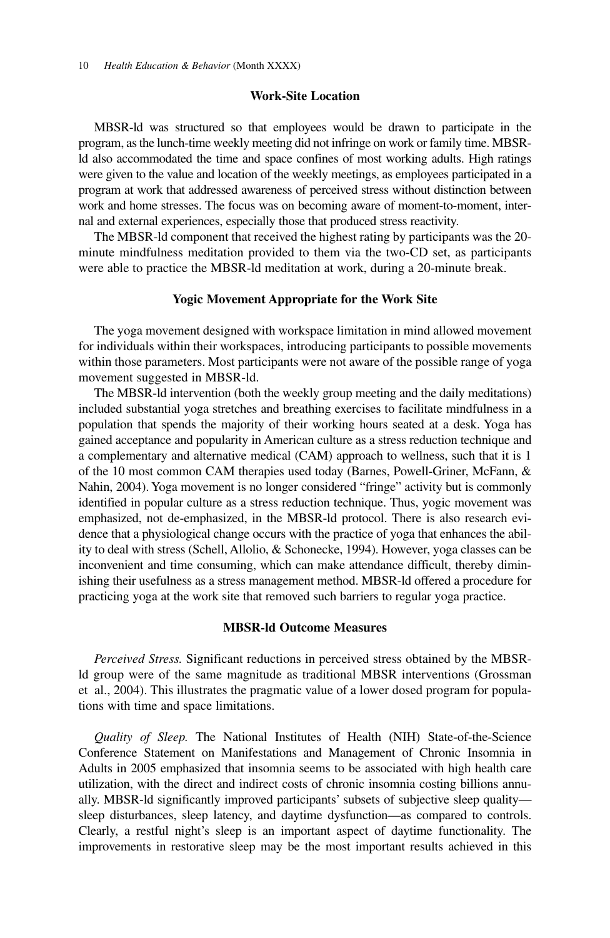## **Work-Site Location**

MBSR-ld was structured so that employees would be drawn to participate in the program, as the lunch-time weekly meeting did not infringe on work or family time. MBSRld also accommodated the time and space confines of most working adults. High ratings were given to the value and location of the weekly meetings, as employees participated in a program at work that addressed awareness of perceived stress without distinction between work and home stresses. The focus was on becoming aware of moment-to-moment, internal and external experiences, especially those that produced stress reactivity.

The MBSR-ld component that received the highest rating by participants was the 20 minute mindfulness meditation provided to them via the two-CD set, as participants were able to practice the MBSR-ld meditation at work, during a 20-minute break.

#### **Yogic Movement Appropriate for the Work Site**

The yoga movement designed with workspace limitation in mind allowed movement for individuals within their workspaces, introducing participants to possible movements within those parameters. Most participants were not aware of the possible range of yoga movement suggested in MBSR-ld.

The MBSR-ld intervention (both the weekly group meeting and the daily meditations) included substantial yoga stretches and breathing exercises to facilitate mindfulness in a population that spends the majority of their working hours seated at a desk. Yoga has gained acceptance and popularity in American culture as a stress reduction technique and a complementary and alternative medical (CAM) approach to wellness, such that it is 1 of the 10 most common CAM therapies used today (Barnes, Powell-Griner, McFann, & Nahin, 2004). Yoga movement is no longer considered "fringe" activity but is commonly identified in popular culture as a stress reduction technique. Thus, yogic movement was emphasized, not de-emphasized, in the MBSR-ld protocol. There is also research evidence that a physiological change occurs with the practice of yoga that enhances the ability to deal with stress (Schell, Allolio, & Schonecke, 1994). However, yoga classes can be inconvenient and time consuming, which can make attendance difficult, thereby diminishing their usefulness as a stress management method. MBSR-ld offered a procedure for practicing yoga at the work site that removed such barriers to regular yoga practice.

## **MBSR-ld Outcome Measures**

*Perceived Stress.* Significant reductions in perceived stress obtained by the MBSRld group were of the same magnitude as traditional MBSR interventions (Grossman et al., 2004). This illustrates the pragmatic value of a lower dosed program for populations with time and space limitations.

*Quality of Sleep.* The National Institutes of Health (NIH) State-of-the-Science Conference Statement on Manifestations and Management of Chronic Insomnia in Adults in 2005 emphasized that insomnia seems to be associated with high health care utilization, with the direct and indirect costs of chronic insomnia costing billions annually. MBSR-ld significantly improved participants' subsets of subjective sleep quality sleep disturbances, sleep latency, and daytime dysfunction—as compared to controls. Clearly, a restful night's sleep is an important aspect of daytime functionality. The improvements in restorative sleep may be the most important results achieved in this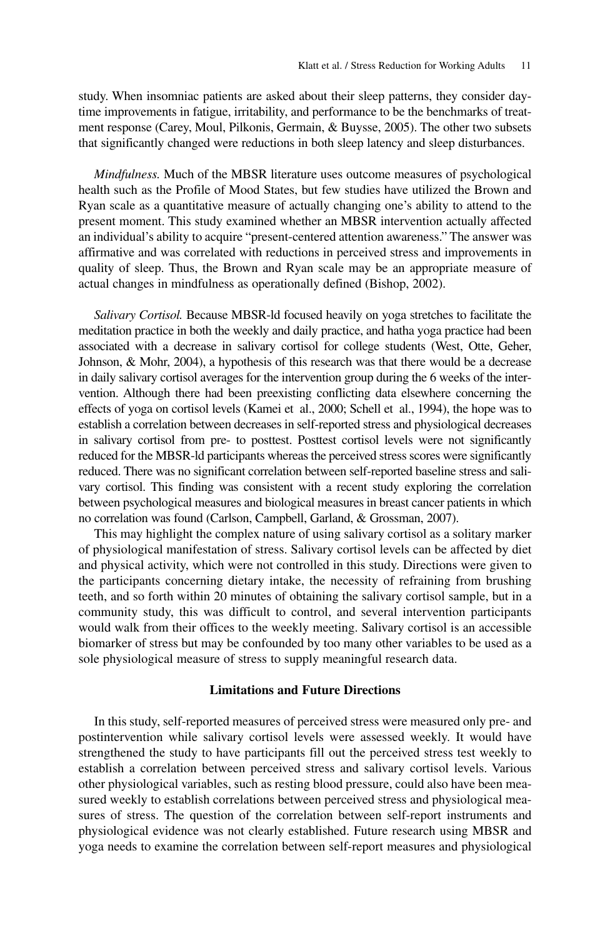study. When insomniac patients are asked about their sleep patterns, they consider daytime improvements in fatigue, irritability, and performance to be the benchmarks of treatment response (Carey, Moul, Pilkonis, Germain, & Buysse, 2005). The other two subsets that significantly changed were reductions in both sleep latency and sleep disturbances.

*Mindfulness.* Much of the MBSR literature uses outcome measures of psychological health such as the Profile of Mood States, but few studies have utilized the Brown and Ryan scale as a quantitative measure of actually changing one's ability to attend to the present moment. This study examined whether an MBSR intervention actually affected an individual's ability to acquire "present-centered attention awareness." The answer was affirmative and was correlated with reductions in perceived stress and improvements in quality of sleep. Thus, the Brown and Ryan scale may be an appropriate measure of actual changes in mindfulness as operationally defined (Bishop, 2002).

*Salivary Cortisol.* Because MBSR-ld focused heavily on yoga stretches to facilitate the meditation practice in both the weekly and daily practice, and hatha yoga practice had been associated with a decrease in salivary cortisol for college students (West, Otte, Geher, Johnson, & Mohr, 2004), a hypothesis of this research was that there would be a decrease in daily salivary cortisol averages for the intervention group during the 6 weeks of the intervention. Although there had been preexisting conflicting data elsewhere concerning the effects of yoga on cortisol levels (Kamei et al., 2000; Schell et al., 1994), the hope was to establish a correlation between decreases in self-reported stress and physiological decreases in salivary cortisol from pre- to posttest. Posttest cortisol levels were not significantly reduced for the MBSR-ld participants whereas the perceived stress scores were significantly reduced. There was no significant correlation between self-reported baseline stress and salivary cortisol. This finding was consistent with a recent study exploring the correlation between psychological measures and biological measures in breast cancer patients in which no correlation was found (Carlson, Campbell, Garland, & Grossman, 2007).

This may highlight the complex nature of using salivary cortisol as a solitary marker of physiological manifestation of stress. Salivary cortisol levels can be affected by diet and physical activity, which were not controlled in this study. Directions were given to the participants concerning dietary intake, the necessity of refraining from brushing teeth, and so forth within 20 minutes of obtaining the salivary cortisol sample, but in a community study, this was difficult to control, and several intervention participants would walk from their offices to the weekly meeting. Salivary cortisol is an accessible biomarker of stress but may be confounded by too many other variables to be used as a sole physiological measure of stress to supply meaningful research data.

# **Limitations and Future Directions**

In this study, self-reported measures of perceived stress were measured only pre- and postintervention while salivary cortisol levels were assessed weekly. It would have strengthened the study to have participants fill out the perceived stress test weekly to establish a correlation between perceived stress and salivary cortisol levels. Various other physiological variables, such as resting blood pressure, could also have been measured weekly to establish correlations between perceived stress and physiological measures of stress. The question of the correlation between self-report instruments and physiological evidence was not clearly established. Future research using MBSR and yoga needs to examine the correlation between self-report measures and physiological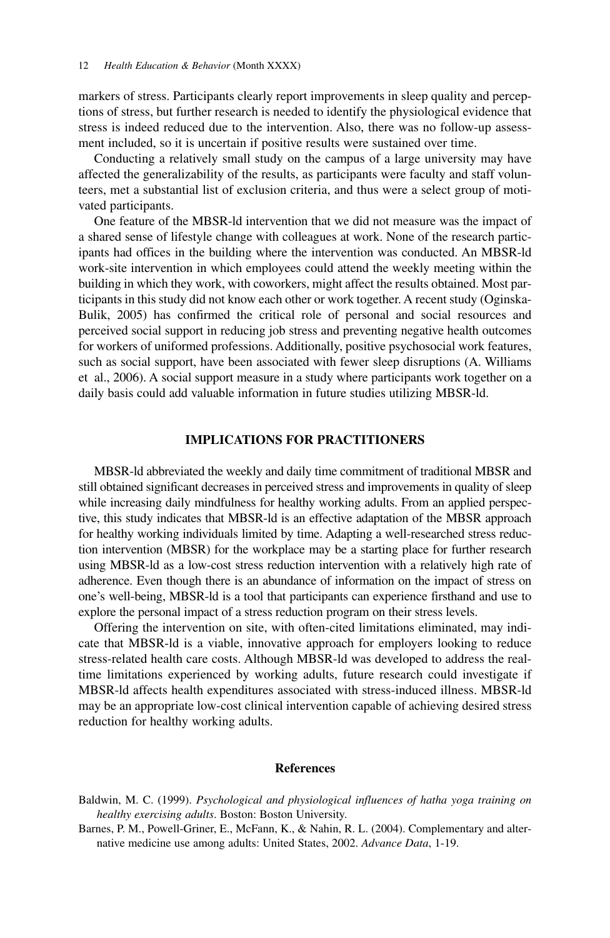markers of stress. Participants clearly report improvements in sleep quality and perceptions of stress, but further research is needed to identify the physiological evidence that stress is indeed reduced due to the intervention. Also, there was no follow-up assessment included, so it is uncertain if positive results were sustained over time.

Conducting a relatively small study on the campus of a large university may have affected the generalizability of the results, as participants were faculty and staff volunteers, met a substantial list of exclusion criteria, and thus were a select group of motivated participants.

One feature of the MBSR-ld intervention that we did not measure was the impact of a shared sense of lifestyle change with colleagues at work. None of the research participants had offices in the building where the intervention was conducted. An MBSR-ld work-site intervention in which employees could attend the weekly meeting within the building in which they work, with coworkers, might affect the results obtained. Most participants in this study did not know each other or work together. A recent study (Oginska-Bulik, 2005) has confirmed the critical role of personal and social resources and perceived social support in reducing job stress and preventing negative health outcomes for workers of uniformed professions. Additionally, positive psychosocial work features, such as social support, have been associated with fewer sleep disruptions (A. Williams et al., 2006). A social support measure in a study where participants work together on a daily basis could add valuable information in future studies utilizing MBSR-ld.

## **IMPLICATIONS FOR PRACTITIONERS**

MBSR-ld abbreviated the weekly and daily time commitment of traditional MBSR and still obtained significant decreases in perceived stress and improvements in quality of sleep while increasing daily mindfulness for healthy working adults. From an applied perspective, this study indicates that MBSR-ld is an effective adaptation of the MBSR approach for healthy working individuals limited by time. Adapting a well-researched stress reduction intervention (MBSR) for the workplace may be a starting place for further research using MBSR-ld as a low-cost stress reduction intervention with a relatively high rate of adherence. Even though there is an abundance of information on the impact of stress on one's well-being, MBSR-ld is a tool that participants can experience firsthand and use to explore the personal impact of a stress reduction program on their stress levels.

Offering the intervention on site, with often-cited limitations eliminated, may indicate that MBSR-ld is a viable, innovative approach for employers looking to reduce stress-related health care costs. Although MBSR-ld was developed to address the realtime limitations experienced by working adults, future research could investigate if MBSR-ld affects health expenditures associated with stress-induced illness. MBSR-ld may be an appropriate low-cost clinical intervention capable of achieving desired stress reduction for healthy working adults.

### **References**

- Baldwin, M. C. (1999). *Psychological and physiological influences of hatha yoga training on healthy exercising adults*. Boston: Boston University.
- Barnes, P. M., Powell-Griner, E., McFann, K., & Nahin, R. L. (2004). Complementary and alternative medicine use among adults: United States, 2002. *Advance Data*, 1-19.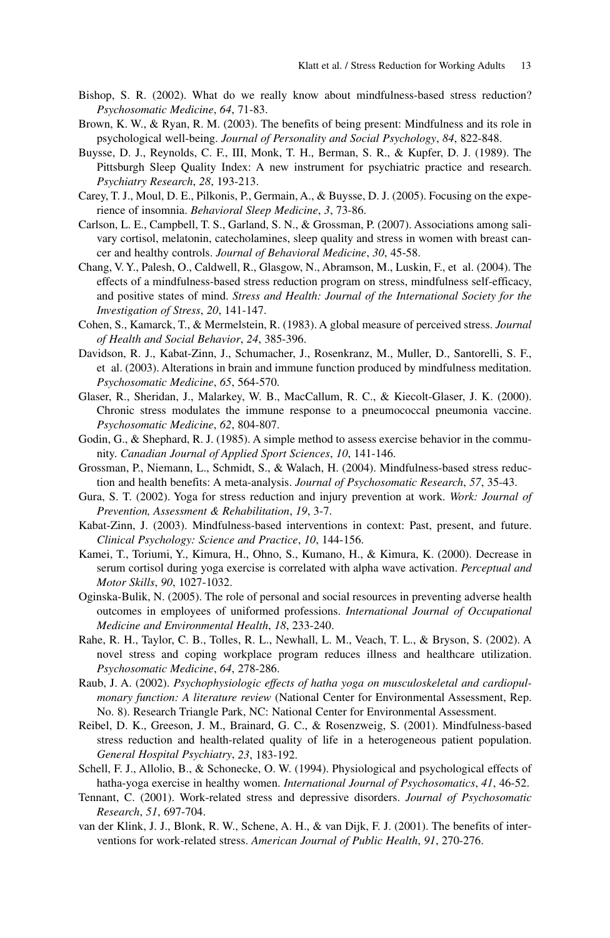- Bishop, S. R. (2002). What do we really know about mindfulness-based stress reduction? *Psychosomatic Medicine*, *64*, 71-83.
- Brown, K. W., & Ryan, R. M. (2003). The benefits of being present: Mindfulness and its role in psychological well-being. *Journal of Personality and Social Psychology*, *84*, 822-848.
- Buysse, D. J., Reynolds, C. F., III, Monk, T. H., Berman, S. R., & Kupfer, D. J. (1989). The Pittsburgh Sleep Quality Index: A new instrument for psychiatric practice and research. *Psychiatry Research*, *28*, 193-213.
- Carey, T. J., Moul, D. E., Pilkonis, P., Germain, A., & Buysse, D. J. (2005). Focusing on the experience of insomnia. *Behavioral Sleep Medicine*, *3*, 73-86.
- Carlson, L. E., Campbell, T. S., Garland, S. N., & Grossman, P. (2007). Associations among salivary cortisol, melatonin, catecholamines, sleep quality and stress in women with breast cancer and healthy controls. *Journal of Behavioral Medicine*, *30*, 45-58.
- Chang, V. Y., Palesh, O., Caldwell, R., Glasgow, N., Abramson, M., Luskin, F., et al. (2004). The effects of a mindfulness-based stress reduction program on stress, mindfulness self-efficacy, and positive states of mind. *Stress and Health: Journal of the International Society for the Investigation of Stress*, *20*, 141-147.
- Cohen, S., Kamarck, T., & Mermelstein, R. (1983). A global measure of perceived stress. *Journal of Health and Social Behavior*, *24*, 385-396.
- Davidson, R. J., Kabat-Zinn, J., Schumacher, J., Rosenkranz, M., Muller, D., Santorelli, S. F., et al. (2003). Alterations in brain and immune function produced by mindfulness meditation. *Psychosomatic Medicine*, *65*, 564-570.
- Glaser, R., Sheridan, J., Malarkey, W. B., MacCallum, R. C., & Kiecolt-Glaser, J. K. (2000). Chronic stress modulates the immune response to a pneumococcal pneumonia vaccine. *Psychosomatic Medicine*, *62*, 804-807.
- Godin, G., & Shephard, R. J. (1985). A simple method to assess exercise behavior in the community. *Canadian Journal of Applied Sport Sciences*, *10*, 141-146.
- Grossman, P., Niemann, L., Schmidt, S., & Walach, H. (2004). Mindfulness-based stress reduction and health benefits: A meta-analysis. *Journal of Psychosomatic Research*, *57*, 35-43.
- Gura, S. T. (2002). Yoga for stress reduction and injury prevention at work. *Work: Journal of Prevention, Assessment & Rehabilitation*, *19*, 3-7.
- Kabat-Zinn, J. (2003). Mindfulness-based interventions in context: Past, present, and future. *Clinical Psychology: Science and Practice*, *10*, 144-156.
- Kamei, T., Toriumi, Y., Kimura, H., Ohno, S., Kumano, H., & Kimura, K. (2000). Decrease in serum cortisol during yoga exercise is correlated with alpha wave activation. *Perceptual and Motor Skills*, *90*, 1027-1032.
- Oginska-Bulik, N. (2005). The role of personal and social resources in preventing adverse health outcomes in employees of uniformed professions. *International Journal of Occupational Medicine and Environmental Health*, *18*, 233-240.
- Rahe, R. H., Taylor, C. B., Tolles, R. L., Newhall, L. M., Veach, T. L., & Bryson, S. (2002). A novel stress and coping workplace program reduces illness and healthcare utilization. *Psychosomatic Medicine*, *64*, 278-286.
- Raub, J. A. (2002). *Psychophysiologic effects of hatha yoga on musculoskeletal and cardiopulmonary function: A literature review* (National Center for Environmental Assessment, Rep. No. 8). Research Triangle Park, NC: National Center for Environmental Assessment.
- Reibel, D. K., Greeson, J. M., Brainard, G. C., & Rosenzweig, S. (2001). Mindfulness-based stress reduction and health-related quality of life in a heterogeneous patient population. *General Hospital Psychiatry*, *23*, 183-192.
- Schell, F. J., Allolio, B., & Schonecke, O. W. (1994). Physiological and psychological effects of hatha-yoga exercise in healthy women. *International Journal of Psychosomatics*, *41*, 46-52.
- Tennant, C. (2001). Work-related stress and depressive disorders. *Journal of Psychosomatic Research*, *51*, 697-704.
- van der Klink, J. J., Blonk, R. W., Schene, A. H., & van Dijk, F. J. (2001). The benefits of interventions for work-related stress. *American Journal of Public Health*, *91*, 270-276.